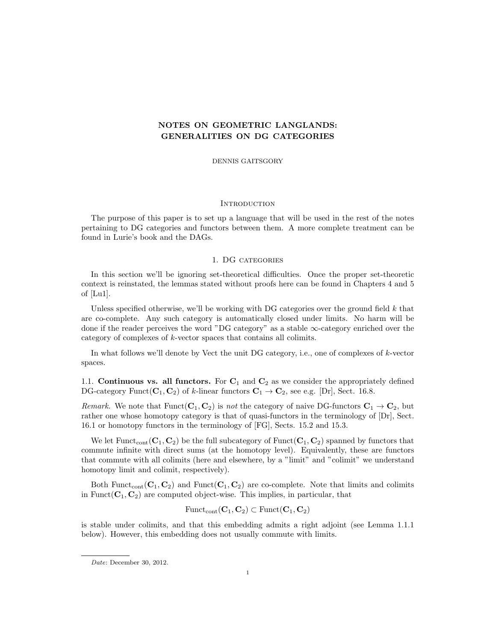# NOTES ON GEOMETRIC LANGLANDS: GENERALITIES ON DG CATEGORIES

DENNIS GAITSGORY

### **INTRODUCTION**

The purpose of this paper is to set up a language that will be used in the rest of the notes pertaining to DG categories and functors between them. A more complete treatment can be found in Lurie's book and the DAGs.

#### 1. DG categories

In this section we'll be ignoring set-theoretical difficulties. Once the proper set-theoretic context is reinstated, the lemmas stated without proofs here can be found in Chapters 4 and 5 of [Lu1].

Unless specified otherwise, we'll be working with DG categories over the ground field  $k$  that are co-complete. Any such category is automatically closed under limits. No harm will be done if the reader perceives the word "DG category" as a stable ∞-category enriched over the category of complexes of k-vector spaces that contains all colimits.

In what follows we'll denote by Vect the unit DG category, i.e., one of complexes of k-vector spaces.

1.1. **Continuous vs. all functors.** For  $C_1$  and  $C_2$  as we consider the appropriately defined DG-category Funct( $C_1, C_2$ ) of k-linear functors  $C_1 \rightarrow C_2$ , see e.g. [Dr], Sect. 16.8.

Remark. We note that  $Funct(C_1, C_2)$  is not the category of naive DG-functors  $C_1 \rightarrow C_2$ , but rather one whose homotopy category is that of quasi-functors in the terminology of [Dr], Sect. 16.1 or homotopy functors in the terminology of [FG], Sects. 15.2 and 15.3.

We let  $\text{Funct}_{\text{cont}}(\mathbf{C}_1, \mathbf{C}_2)$  be the full subcategory of  $\text{Funct}(\mathbf{C}_1, \mathbf{C}_2)$  spanned by functors that commute infinite with direct sums (at the homotopy level). Equivalently, these are functors that commute with all colimits (here and elsewhere, by a "limit" and "colimit" we understand homotopy limit and colimit, respectively).

Both Funct<sub>cont</sub>  $(C_1, C_2)$  and Funct  $(C_1, C_2)$  are co-complete. Note that limits and colimits in Funct( $C_1, C_2$ ) are computed object-wise. This implies, in particular, that

$$
\mathrm{Funct}_{\mathrm{cont}}(\mathbf{C}_1,\mathbf{C}_2) \subset \mathrm{Funct}(\mathbf{C}_1,\mathbf{C}_2)
$$

is stable under colimits, and that this embedding admits a right adjoint (see Lemma 1.1.1 below). However, this embedding does not usually commute with limits.

Date: December 30, 2012.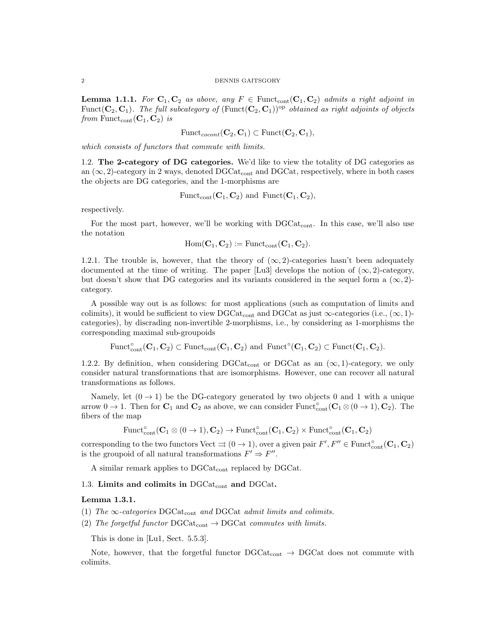**Lemma 1.1.1.** For  $C_1, C_2$  as above, any  $F \in$  Funct<sub>cont</sub> $(C_1, C_2)$  admits a right adjoint in Funct( $C_2, C_1$ ). The full subcategory of (Funct( $C_2, C_1$ )<sup>op</sup> obtained as right adjoints of objects from Funct<sub>cont</sub> $(C_1, C_2)$  is

$$
\mathrm{Funct}_{\mathit{cocont}}(\mathbf{C}_2, \mathbf{C}_1) \subset \mathrm{Funct}(\mathbf{C}_2, \mathbf{C}_1),
$$

which consists of functors that commute with limits.

1.2. The 2-category of DG categories. We'd like to view the totality of DG categories as an  $(\infty, 2)$ -category in 2 ways, denoted DGCat<sub>cont</sub> and DGCat, respectively, where in both cases the objects are DG categories, and the 1-morphisms are

$$
\mathrm{Funct}_{\mathrm{cont}}(\mathbf{C}_1, \mathbf{C}_2) \text{ and } \mathrm{Funct}(\mathbf{C}_1, \mathbf{C}_2),
$$

respectively.

For the most part, however, we'll be working with  $DGCat_{cont.}$  In this case, we'll also use the notation

$$
\mathrm{Hom}(\mathbf{C}_1,\mathbf{C}_2):=\mathrm{Funct}_{\mathrm{cont}}(\mathbf{C}_1,\mathbf{C}_2).
$$

1.2.1. The trouble is, however, that the theory of  $(\infty, 2)$ -categories hasn't been adequately documented at the time of writing. The paper [Lu3] develops the notion of  $(\infty, 2)$ -category, but doesn't show that DG categories and its variants considered in the sequel form a  $(\infty, 2)$ category.

A possible way out is as follows: for most applications (such as computation of limits and colimits), it would be sufficient to view DGCat<sub>cont</sub> and DGCat as just  $\infty$ -categories (i.e.,  $(\infty, 1)$ categories), by discrading non-invertible 2-morphisms, i.e., by considering as 1-morphisms the corresponding maximal sub-groupoids

Funct<sup>°</sup> $(\mathbf{C}_1, \mathbf{C}_2) \subset$ Funct<sub>cont</sub> $(\mathbf{C}_1, \mathbf{C}_2)$  and Funct<sup>°</sup> $(\mathbf{C}_1, \mathbf{C}_2) \subset$ Funct $(\mathbf{C}_1, \mathbf{C}_2)$ .

1.2.2. By definition, when considering DGCat<sub>cont</sub> or DGCat as an  $(\infty, 1)$ -category, we only consider natural transformations that are isomorphisms. However, one can recover all natural transformations as follows.

Namely, let  $(0 \rightarrow 1)$  be the DG-category generated by two objects 0 and 1 with a unique arrow  $0 \to 1$ . Then for  $\mathbf{C}_1$  and  $\mathbf{C}_2$  as above, we can consider Funct<sup>°</sup><sub>cont</sub>  $(\mathbf{C}_1 \otimes (0 \to 1), \mathbf{C}_2)$ . The fibers of the map

$$
\mathrm{Funct}_{\mathrm{cont}}^{\circ}(\mathbf{C}_1 \otimes (\mathbf{0} \to \mathbf{1}), \mathbf{C}_2) \to \mathrm{Funct}_{\mathrm{cont}}^{\circ}(\mathbf{C}_1, \mathbf{C}_2) \times \mathrm{Funct}_{\mathrm{cont}}^{\circ}(\mathbf{C}_1, \mathbf{C}_2)
$$

corresponding to the two functors Vect  $\Rightarrow$   $(0 \to 1)$ , over a given pair  $F', F'' \in \text{Funct}_{\text{cont}}^{\circ}(\mathbf{C}_1, \mathbf{C}_2)$ is the groupoid of all natural transformations  $F' \Rightarrow F''$ .

A similar remark applies to DGCat<sub>cont</sub> replaced by DGCat.

#### 1.3. Limits and colimits in  $DGCat_{cont}$  and  $DGCat$ .

## Lemma 1.3.1.

- (1) The  $\infty$ -categories DGCat<sub>cont</sub> and DGCat admit limits and colimits.
- (2) The forgetful functor  $DGCat_{cont} \rightarrow DGCat$  commutes with limits.

This is done in [Lu1, Sect. 5.5.3].

Note, however, that the forgetful functor  $DGCat_{cont} \rightarrow DGCat$  does not commute with colimits.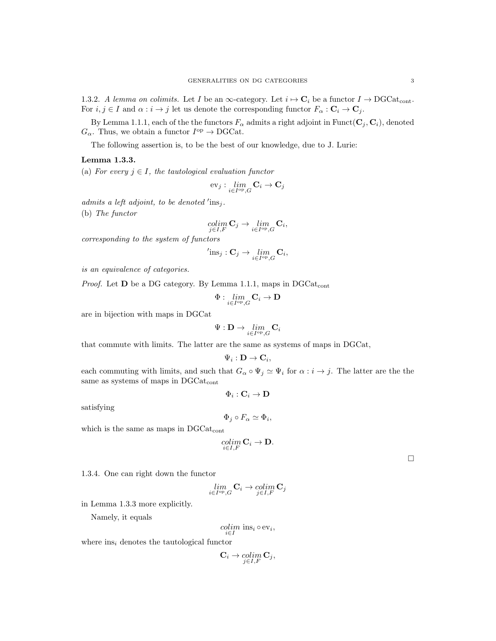1.3.2. A lemma on colimits. Let I be an  $\infty$ -category. Let  $i \mapsto \mathbf{C}_i$  be a functor  $I \to \text{DGCat}_{\text{cont}}$ . For  $i, j \in I$  and  $\alpha : i \to j$  let us denote the corresponding functor  $F_{\alpha} : \mathbf{C}_i \to \mathbf{C}_j$ .

By Lemma 1.1.1, each of the the functors  $F_{\alpha}$  admits a right adjoint in Funct( $\mathbf{C}_j$ ,  $\mathbf{C}_i$ ), denoted  $G_{\alpha}$ . Thus, we obtain a functor  $I^{\text{op}} \to \text{DGCat}$ .

The following assertion is, to be the best of our knowledge, due to J. Lurie:

#### Lemma 1.3.3.

(a) For every  $j \in I$ , the tautological evaluation functor

$$
\mathrm{ev}_j: \lim_{i\in I^\mathrm{op},G}\mathbf{C}_i\to \mathbf{C}_j
$$

admits a left adjoint, to be denoted  $\text{ins}_j$ .

(b) The functor

$$
\underset{j\in I,F}{colim} \mathbf{C}_j \rightarrow \underset{i\in I^{\mathrm{op}},G}{lim} \mathbf{C}_i,
$$

corresponding to the system of functors

$$
^{\prime} \text{ins}_{j} : \mathbf{C}_{j} \to \lim_{i \in I^{\text{op}}, G} \mathbf{C}_{i},
$$

is an equivalence of categories.

*Proof.* Let  $D$  be a DG category. By Lemma 1.1.1, maps in DGCat<sub>cont</sub>

$$
\Phi: \lim_{i\in I^{\mathrm{op}},G}\mathbf{C}_i \to \mathbf{D}
$$

are in bijection with maps in DGCat

$$
\Psi:{\bf D}\to \lim_{i\in I^{\rm op},G}{\bf C}_i
$$

that commute with limits. The latter are the same as systems of maps in DGCat,

$$
\Psi_i:{\bf D}\to {\bf C}_i,
$$

each commuting with limits, and such that  $G_{\alpha} \circ \Psi_j \simeq \Psi_i$  for  $\alpha : i \to j$ . The latter are the the same as systems of maps in DGCat<sub>cont</sub>

 $\Phi_i: \mathbf{C}_i \to \mathbf{D}$ 

satisfying

$$
\Phi_j \circ F_\alpha \simeq \Phi_i,
$$

which is the same as maps in  $DGCat_{cont}$ 

$$
\operatornamewithlimits{colim}_{i\in I,F}\mathbf C_i\to \mathbf D.
$$

1.3.4. One can right down the functor

$$
\lim_{\in I^{\mathrm{op}},G}\mathbf{C}_i\to \operatorname*{colim}_{j\in I,F}\mathbf{C}_j
$$

i.

in Lemma 1.3.3 more explicitly.

Namely, it equals

$$
\underset{i \in I}{colim} \text{ ins}_i \circ \text{ev}_i,
$$

where  $ins<sub>i</sub>$  denotes the tautological functor

$$
\mathbf{C}_i \to \operatornamewithlimits{colim}_{j \in I, F} \mathbf{C}_j,
$$

 $\Box$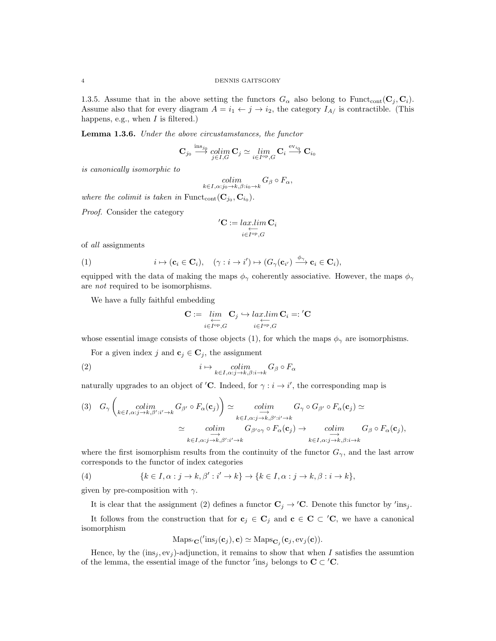1.3.5. Assume that in the above setting the functors  $G_{\alpha}$  also belong to Funct<sub>cont</sub>( $\mathbf{C}_j, \mathbf{C}_i$ ). Assume also that for every diagram  $A = i_1 \leftarrow j \rightarrow i_2$ , the category  $I_{A}$  is contractible. (This happens, e.g., when  $I$  is filtered.)

Lemma 1.3.6. Under the above circustamstances, the functor

$$
\mathbf{C}_{j_0} \stackrel{\text{ins}_{j_0}}{\longrightarrow} \underset{j \in I, G}{\text{colim}} \mathbf{C}_j \simeq \underset{i \in I^{\text{op}}, G}{\text{lim}} \mathbf{C}_i \stackrel{\text{ev}_{i_0}}{\longrightarrow} \mathbf{C}_{i_0}
$$

is canonically isomorphic to

$$
\underset{k \in I, \alpha: j_0 \to k, \beta: i_0 \to k}{colim} G_{\beta} \circ F_{\alpha},
$$

where the colimit is taken in Funct<sub>cont</sub>  $(\mathbf{C}_{j_0}, \mathbf{C}_{i_0})$ .

Proof. Consider the category

$$
{}'\mathbf{C} := \mathop{lar.lim}_{i \in I^{\mathrm{op}}, G} \mathbf{C}_i
$$

of all assignments

(1) 
$$
i \mapsto (\mathbf{c}_i \in \mathbf{C}_i), \quad (\gamma : i \to i') \mapsto (G_{\gamma}(\mathbf{c}_{i'}) \xrightarrow{\phi_{\gamma}} \mathbf{c}_i \in \mathbf{C}_i),
$$

equipped with the data of making the maps  $\phi_{\gamma}$  coherently associative. However, the maps  $\phi_{\gamma}$ are not required to be isomorphisms.

We have a fully faithful embedding

$$
\mathbf{C} := \underbrace{\lim_{i \in I^{\mathrm{op}}, G} \mathbf{C}_j}_{i \in I^{\mathrm{op}}, G} \hookrightarrow \underbrace{\lim_{i \in I^{\mathrm{op}}, G} \mathbf{C}_i}_{=: I^{\mathrm{op}}, G} =: {'}\mathbf{C}
$$

whose essential image consists of those objects (1), for which the maps  $\phi_{\gamma}$  are isomorphisms.

For a given index j and  $\mathbf{c}_i \in \mathbf{C}_i$ , the assignment

(2) 
$$
i \mapsto \operatornamewithlimits{colim}_{k \in I, \alpha: j \to k, \beta: i \to k} G_{\beta} \circ F_{\alpha}
$$

naturally upgrades to an object of 'C. Indeed, for  $\gamma : i \to i'$ , the corresponding map is

$$
(3) \quad G_{\gamma} \left( \underset{k \in I, \alpha: j \to k, \beta': i' \to k}{\text{colim}} G_{\beta'} \circ F_{\alpha}(\mathbf{c}_j) \right) \simeq \underset{k \in I, \alpha: j \to k, \beta': i' \to k}{\text{colim}} G_{\gamma} \circ G_{\beta'} \circ F_{\alpha}(\mathbf{c}_j) \simeq
$$
\n
$$
\simeq \underset{k \in I, \alpha: j \to k, \beta': i' \to k}{\text{colim}} G_{\beta' \circ \gamma} \circ F_{\alpha}(\mathbf{c}_j) \to \underset{k \in I, \alpha: j \to k, \beta: i \to k}{\text{colim}} G_{\beta} \circ F_{\alpha}(\mathbf{c}_j),
$$

where the first isomorphism results from the continuity of the functor  $G_{\gamma}$ , and the last arrow corresponds to the functor of index categories

(4) 
$$
\{k \in I, \alpha : j \to k, \beta' : i' \to k\} \to \{k \in I, \alpha : j \to k, \beta : i \to k\},\
$$

given by pre-composition with  $\gamma$ .

It is clear that the assignment (2) defines a functor  $\mathbf{C}_j \to \prime \mathbf{C}$ . Denote this functor by  $\prime$ ins<sub>j</sub>.

It follows from the construction that for  $c_j \in C_j$  and  $c \in C \subset C$ , we have a canonical isomorphism

$$
Maps_{\mathbf{C}}('ins_j(\mathbf{c}_j), \mathbf{c}) \simeq Maps_{\mathbf{C}_j}(\mathbf{c}_j, \text{ev}_j(\mathbf{c})).
$$

Hence, by the  $(ins<sub>i</sub>, ev<sub>i</sub>)$ -adjunction, it remains to show that when I satisfies the assumtion of the lemma, the essential image of the functor  $\prime$ ins<sub>j</sub> belongs to **C**  $\subset$  '**C**.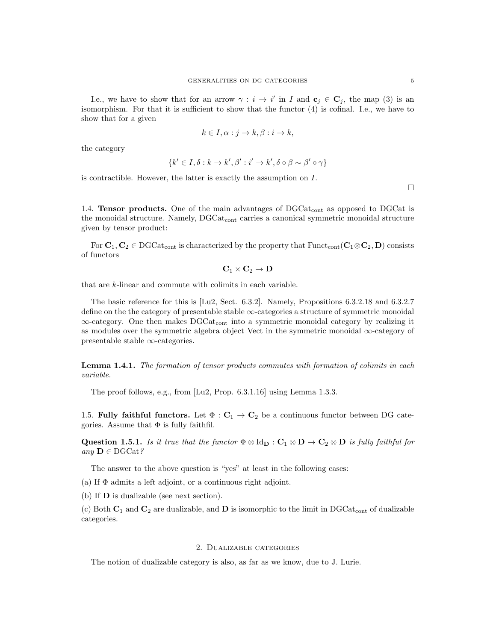I.e., we have to show that for an arrow  $\gamma : i \to i'$  in I and  $\mathbf{c}_j \in \mathbf{C}_j$ , the map (3) is an isomorphism. For that it is sufficient to show that the functor (4) is cofinal. I.e., we have to show that for a given

$$
k \in I, \alpha : j \to k, \beta : i \to k,
$$

the category

$$
\{k' \in I, \delta : k \to k', \beta' : i' \to k', \delta \circ \beta \sim \beta' \circ \gamma\}
$$

is contractible. However, the latter is exactly the assumption on I.

 $\Box$ 

1.4. **Tensor products.** One of the main advantages of  $DGCat_{cont}$  as opposed to  $DGCat$  is the monoidal structure. Namely, DGCat<sub>cont</sub> carries a canonical symmetric monoidal structure given by tensor product:

For  $C_1, C_2 \in \text{DGCat}_{cont}$  is characterized by the property that  $\text{Funct}_{cont}(C_1 \otimes C_2, D)$  consists of functors

$$
\mathbf{C}_1 \times \mathbf{C}_2 \to \mathbf{D}
$$

that are k-linear and commute with colimits in each variable.

The basic reference for this is [Lu2, Sect. 6.3.2]. Namely, Propositions 6.3.2.18 and 6.3.2.7 define on the the category of presentable stable  $\infty$ -categories a structure of symmetric monoidal  $\infty$ -category. One then makes DGCat<sub>cont</sub> into a symmetric monoidal category by realizing it as modules over the symmetric algebra object Vect in the symmetric monoidal  $\infty$ -category of presentable stable ∞-categories.

Lemma 1.4.1. The formation of tensor products commutes with formation of colimits in each variable.

The proof follows, e.g., from [Lu2, Prop. 6.3.1.16] using Lemma 1.3.3.

1.5. Fully faithful functors. Let  $\Phi : \mathbb{C}_1 \to \mathbb{C}_2$  be a continuous functor between DG categories. Assume that  $\Phi$  is fully faithfil.

Question 1.5.1. Is it true that the functor  $\Phi \otimes \mathrm{Id}_{D} : C_1 \otimes D \to C_2 \otimes D$  is fully faithful for any  $\mathbf{D} \in \mathrm{DGCat}\,?$ 

The answer to the above question is "yes" at least in the following cases:

(a) If  $\Phi$  admits a left adjoint, or a continuous right adjoint.

(b) If D is dualizable (see next section).

(c) Both  $C_1$  and  $C_2$  are dualizable, and  $D$  is isomorphic to the limit in DGCat<sub>cont</sub> of dualizable categories.

### 2. Dualizable categories

The notion of dualizable category is also, as far as we know, due to J. Lurie.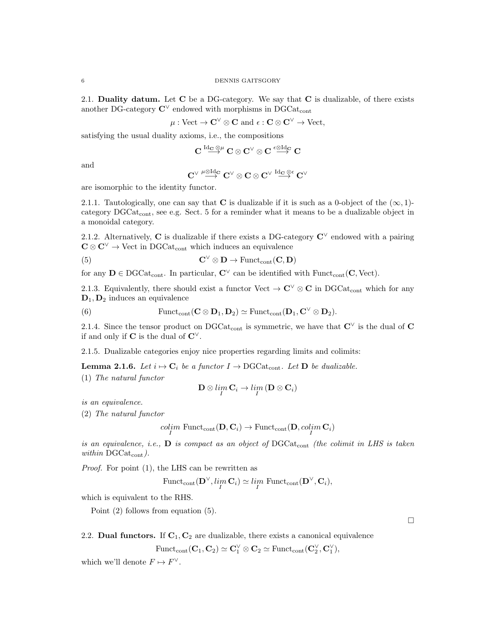2.1. Duality datum. Let  $C$  be a DG-category. We say that  $C$  is dualizable, of there exists another DG-category  $\mathbb{C}^{\vee}$  endowed with morphisms in DGCat<sub>cont</sub>

$$
\mu: \text{Vect} \to \mathbf{C}^\vee \otimes \mathbf{C} \text{ and } \epsilon: \mathbf{C} \otimes \mathbf{C}^\vee \to \text{Vect},
$$

satisfying the usual duality axioms, i.e., the compositions

$$
\mathbf{C} \overset{\mathrm{Id}_{\mathbf{C}} \otimes \mu}{\longrightarrow} \mathbf{C} \otimes \mathbf{C}^\vee \otimes \mathbf{C} \overset{\epsilon \otimes \mathrm{Id}_{\mathbf{C}}}{\longrightarrow} \mathbf{C}
$$

and

$$
\mathbf{C}^\vee \overset{\mu\otimes \mathrm{Id}_\mathbf{C}}{\longrightarrow} \mathbf{C}^\vee \otimes \mathbf{C} \otimes \mathbf{C}^\vee \overset{\mathrm{Id}_\mathbf{C} \otimes \varepsilon}{\longrightarrow} \mathbf{C}^\vee
$$

are isomorphic to the identity functor.

2.1.1. Tautologically, one can say that C is dualizable if it is such as a 0-object of the  $(\infty, 1)$ category DGCatcont, see e.g. Sect. 5 for a reminder what it means to be a dualizable object in a monoidal category.

2.1.2. Alternatively, C is dualizable if there exists a DG-category  $\mathbb{C}^{\vee}$  endowed with a pairing  $\mathbf{C} \otimes \mathbf{C}^{\vee} \to \mathrm{Vect}$  in DGCat<sub>cont</sub> which induces an equivalence

(5) 
$$
\mathbf{C}^{\vee} \otimes \mathbf{D} \to \text{Funct}_{\text{cont}}(\mathbf{C}, \mathbf{D})
$$

for any  $D \in \text{DGCat}_{\text{cont}}$ . In particular,  $C^{\vee}$  can be identified with  $\text{Funct}_{\text{cont}}(C, \text{Vect})$ .

2.1.3. Equivalently, there should exist a functor Vect  $\to \mathbb{C}^{\vee} \otimes \mathbb{C}$  in DGCat<sub>cont</sub> which for any  $D_1, D_2$  induces an equivalence

(6) 
$$
\text{Funct}_{\text{cont}}(\mathbf{C} \otimes \mathbf{D}_1, \mathbf{D}_2) \simeq \text{Funct}_{\text{cont}}(\mathbf{D}_1, \mathbf{C}^{\vee} \otimes \mathbf{D}_2).
$$

2.1.4. Since the tensor product on DGCat<sub>cont</sub> is symmetric, we have that  $\mathbb{C}^{\vee}$  is the dual of C if and only if  $C$  is the dual of  $C^{\vee}$ .

2.1.5. Dualizable categories enjoy nice properties regarding limits and colimits:

**Lemma 2.1.6.** Let  $i \mapsto C_i$  be a functor  $I \to DGCat_{cont}$ . Let **D** be dualizable.

(1) The natural functor

$$
\mathbf{D}\otimes\lim_{I}\mathbf{C}_{i}\to\lim_{I}\left(\mathbf{D}\otimes\mathbf{C}_{i}\right)
$$

is an equivalence.

(2) The natural functor

$$
\underset{I}{colim}\text{ Funct}_{\text{cont}}(\mathbf{D},\mathbf{C}_i)\rightarrow\text{Funct}_{\text{cont}}(\mathbf{D},\underset{I}{colim}\,\mathbf{C}_i)
$$

is an equivalence, i.e.,  $\bf{D}$  is compact as an object of DGCat<sub>cont</sub> (the colimit in LHS is taken within  $DGCat_{cont}$ ).

Proof. For point (1), the LHS can be rewritten as

$$
\mathrm{Funct}_{\mathrm{cont}}(\mathbf{D}^{\vee}, \lim_{I} \mathbf{C}_{i}) \simeq \lim_{I} \mathrm{Funct}_{\mathrm{cont}}(\mathbf{D}^{\vee}, \mathbf{C}_{i}),
$$

which is equivalent to the RHS.

Point (2) follows from equation (5).

 $\Box$ 

2.2. Dual functors. If  $C_1, C_2$  are dualizable, there exists a canonical equivalence

 $\text{Funct}_{\text{cont}}(\mathbf{C}_1, \mathbf{C}_2) \simeq \mathbf{C}_1^{\vee} \otimes \mathbf{C}_2 \simeq \text{Funct}_{\text{cont}}(\mathbf{C}_2^{\vee}, \mathbf{C}_1^{\vee}),$ 

which we'll denote  $F \mapsto F^{\vee}$ .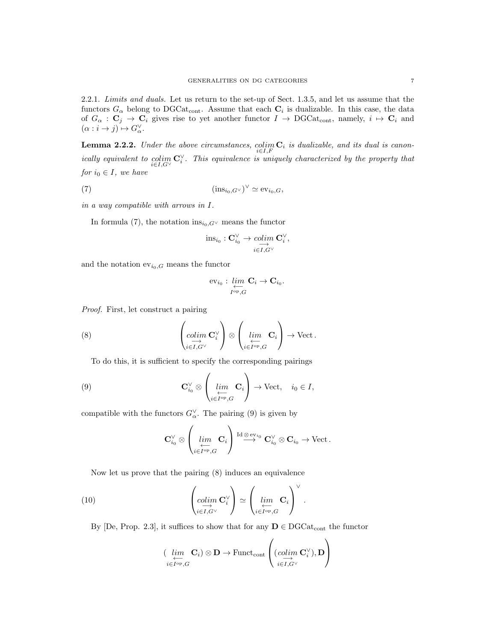2.2.1. Limits and duals. Let us return to the set-up of Sect. 1.3.5, and let us assume that the functors  $G_{\alpha}$  belong to DGCat<sub>cont</sub>. Assume that each  $\mathbf{C}_i$  is dualizable. In this case, the data of  $G_{\alpha} : \mathbf{C}_j \to \mathbf{C}_i$  gives rise to yet another functor  $I \to \text{DGCat}_{\text{cont}}$ , namely,  $i \mapsto \mathbf{C}_i$  and  $(\alpha : i \to j) \mapsto G_{\alpha}^{\vee}$ .

**Lemma 2.2.2.** Under the above circumstances,  $\underset{i \in I, F}{colim} \mathbf{C}_i$  is dualizable, and its dual is canonically equivalent to  $\operatorname{colim}_{i\in I, G^{\vee}} \mathbf{C}^{\vee}_i$ . This equivalence is uniquely characterized by the property that for  $i_0 \in I$ , we have

$$
(\text{in}_{{\rm S}_{i_0,G} \vee})^{\vee} \simeq {\rm ev}_{i_0,G},
$$

in a way compatible with arrows in I.

In formula (7), the notation  $ins_{i_0,G}\vee$  means the functor

$$
\operatorname{ins}_{i_0}: \mathbf C_{i_0}^\vee \to \operatornamewithlimits{colim}_{i \in I, G^\vee} \mathbf C_i^\vee,
$$

and the notation  $ev_{i_0,G}$  means the functor

$$
\mathrm{ev}_{i_0}:\varprojlim_{I^{\mathrm{op}},G}\mathbf{C}_i\to\mathbf{C}_{i_0}.
$$

Proof. First, let construct a pairing

(8) 
$$
\left(\underset{i\in I, G^{\vee}}{\underset{\longrightarrow}{\text{colim}}} \mathbf{C}_{i}^{\vee}\right) \otimes \left(\underset{i\in I^{\text{op}}, G}{\underset{\longleftarrow}{\text{lim}}} \mathbf{C}_{i}\right) \to \text{Vect}.
$$

To do this, it is sufficient to specify the corresponding pairings

(9) 
$$
\mathbf{C}_{i_0}^{\vee} \otimes \left( \lim_{\substack{i \in I^{\mathrm{op}}, G}} \mathbf{C}_i \right) \to \text{Vect}, \quad i_0 \in I,
$$

compatible with the functors  $G^{\vee}_{\alpha}$ . The pairing (9) is given by

$$
\mathbf{C}_{i_0}^{\vee} \otimes \left(\varprojlim_{i \in I^{\mathrm{op}}, G} \mathbf{C}_i\right) \overset{\mathrm{Id} \otimes \mathrm{ev}_{i_0}}{\longrightarrow} \mathbf{C}_{i_0}^{\vee} \otimes \mathbf{C}_{i_0} \to \mathrm{Vect}\,.
$$

Now let us prove that the pairing (8) induces an equivalence

(10) 
$$
\left(\underset{i\in I, G^{\vee}}{\underset{\sim}{colim}} \mathbf{C}_{i}^{\vee}\right) \simeq \left(\underset{i\in I^{op}, G}{\underset{\sim}{lim}} \mathbf{C}_{i}\right)^{\vee}.
$$

By [De, Prop. 2.3], it suffices to show that for any  $\mathbf{D} \in \text{DGCat}_{cont}$  the functor

$$
(\lim_{\substack{\longleftarrow \\ i \in I^{op}, G}} \mathbf{C}_i) \otimes \mathbf{D} \to \mathrm{Funct}_{\mathrm{cont}} \left( (\underset{i \in I, G^{\vee}}{\mathrm{colim}} \mathbf{C}_i^{\vee}), \mathbf{D} \right)
$$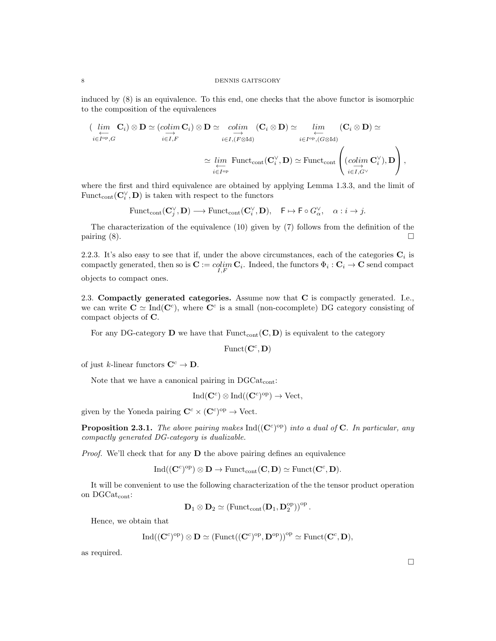induced by (8) is an equivalence. To this end, one checks that the above functor is isomorphic to the composition of the equivalences

$$
\begin{aligned}\n&\left(\lim_{i\in I^{\text{op}},G} \mathbf{C}_i\right) \otimes \mathbf{D} \simeq \underbrace{(colim_{i\in I, F} \mathbf{C}_i)}_{i\in I, F} \otimes \mathbf{D} \simeq \underbrace{colim_{i\in I, (F \otimes \text{Id})} (\mathbf{C}_i \otimes \mathbf{D})}_{i\in I^{\text{op}}, (G \otimes \text{Id})} \underbrace{(C_i \otimes \mathbf{D})}_{i\in I^{\text{op}}, (G \otimes \text{Id})} \simeq \\
&\simeq \underbrace{\lim_{i\in I^{\text{op}}}}_{i\in I, G^{\vee}} \text{Funct}_{\text{cont}} \left(\mathbf{C}_i^{\vee}, \mathbf{D}\right) \simeq \text{Funct}_{\text{cont}} \left(\underbrace{(colim_{i\in I, G^{\vee}} \mathbf{C}_i^{\vee}), \mathbf{D}}_{i\in I, G^{\vee}}\right),\n\end{aligned}
$$

where the first and third equivalence are obtained by applying Lemma 1.3.3, and the limit of Funct<sub>cont</sub> $(\mathbf{C}^{\vee}_i, \mathbf{D})$  is taken with respect to the functors

$$
\mathrm{Funct}_{\mathrm{cont}}(\mathbf{C}_{j}^{\vee}, \mathbf{D}) \longrightarrow \mathrm{Funct}_{\mathrm{cont}}(\mathbf{C}_{i}^{\vee}, \mathbf{D}), \quad \mathsf{F} \mapsto \mathsf{F} \circ G_{\alpha}^{\vee}, \quad \alpha : i \to j.
$$

The characterization of the equivalence (10) given by (7) follows from the definition of the pairing  $(8)$ .

2.2.3. It's also easy to see that if, under the above circumstances, each of the categories  $C_i$  is compactly generated, then so is  $\mathbf{C} := colim_{I,F} \mathbf{C}_i$ . Indeed, the functors  $\Phi_i : \mathbf{C}_i \to \mathbf{C}$  send compact objects to compact ones.

2.3. Compactly generated categories. Assume now that C is compactly generated. I.e., we can write  $C \simeq \text{Ind}(C^c)$ , where  $C^c$  is a small (non-cocomplete) DG category consisting of compact objects of C.

For any DG-category D we have that  $Function(C, D)$  is equivalent to the category

 $\text{Funct}(\mathbf{C}^c, \mathbf{D})$ 

of just k-linear functors  $\mathbf{C}^c \to \mathbf{D}$ .

Note that we have a canonical pairing in  $DGCat_{cont}$ :

$$
Ind(\mathbf{C}^c) \otimes Ind((\mathbf{C}^c)^{op}) \to Vect,
$$

given by the Yoneda pairing  $\mathbf{C}^c \times (\mathbf{C}^c)^{\text{op}} \to \text{Vect}$ .

**Proposition 2.3.1.** The above pairing makes  $Ind((\mathbf{C}^c)^{op})$  into a dual of C. In particular, any compactly generated DG-category is dualizable.

Proof. We'll check that for any **D** the above pairing defines an equivalence

$$
\mathrm{Ind}((\mathbf{C}^c)^{\mathrm{op}})\otimes \mathbf{D}\rightarrow \mathrm{Funct}_{\mathrm{cont}}(\mathbf{C},\mathbf{D})\simeq \mathrm{Funct}(\mathbf{C}^c,\mathbf{D}).
$$

It will be convenient to use the following characterization of the the tensor product operation on DGCatcont:

$$
\mathbf{D}_1\otimes \mathbf{D}_2\simeq \left(\mathrm{Funct}_{\mathrm{cont}}(\mathbf{D}_1,\mathbf{D}_2^{\mathrm{op}})\right)^{\mathrm{op}}.
$$

Hence, we obtain that

$$
\mathrm{Ind}((\mathbf{C}^c)^{\mathrm{op}})\otimes \mathbf{D}\simeq (\mathrm{Funct}((\mathbf{C}^c)^{\mathrm{op}},\mathbf{D}^{\mathrm{op}}))^\mathrm{op}\simeq \mathrm{Funct}(\mathbf{C}^c,\mathbf{D}),
$$

as required.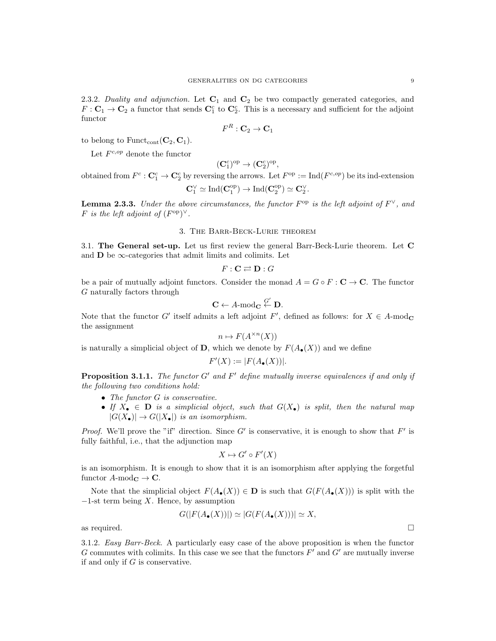2.3.2. Duality and adjunction. Let  $C_1$  and  $C_2$  be two compactly generated categories, and  $F: \mathbf{C}_1 \to \mathbf{C}_2$  a functor that sends  $\mathbf{C}_1^c$  to  $\mathbf{C}_2^c$ . This is a necessary and sufficient for the adjoint functor

$$
F^R: \mathbf{C}_2 \to \mathbf{C}_1
$$

to belong to  $\text{Funct}_{\text{cont}}(\mathbf{C}_2, \mathbf{C}_1)$ .

Let  $F^{c,op}$  denote the functor

$$
(\mathbf{C}^c_1)^{\mathrm{op}} \to (\mathbf{C}^c_2)^{\mathrm{op}},
$$

obtained from  $F^c: \mathbf{C}_1^c \to \mathbf{C}_2^c$  by reversing the arrows. Let  $F^{\rm op} := \text{Ind}(F^{c, op})$  be its ind-extension

$$
\mathbf{C}_1^\vee\simeq \mathrm{Ind}(\mathbf{C}_1^\mathrm{op})\to \mathrm{Ind}(\mathbf{C}_2^\mathrm{op})\simeq \mathbf{C}_2^\vee.
$$

**Lemma 2.3.3.** Under the above circumstances, the functor  $F^{\text{op}}$  is the left adjoint of  $F^{\vee}$ , and F is the left adjoint of  $(F^{\text{op}})^\vee$ .

## 3. The Barr-Beck-Lurie theorem

3.1. The General set-up. Let us first review the general Barr-Beck-Lurie theorem. Let C and  $\bf{D}$  be  $\infty$ -categories that admit limits and colimits. Let

$$
F: \mathbf{C} \rightleftarrows \mathbf{D}: G
$$

be a pair of mutually adjoint functors. Consider the monad  $A = G \circ F : \mathbf{C} \to \mathbf{C}$ . The functor G naturally factors through

$$
\mathbf{C} \leftarrow A\text{-}\mathrm{mod}_\mathbf{C} \stackrel{G'}{\leftarrow} \mathbf{D}.
$$

Note that the functor G' itself admits a left adjoint F', defined as follows: for  $X \in A$ -mod<sub>C</sub> the assignment

$$
n \mapsto F(A^{\times n}(X))
$$

is naturally a simplicial object of D, which we denote by  $F(A_{\bullet}(X))$  and we define

$$
F'(X) := |F(A_{\bullet}(X))|.
$$

**Proposition 3.1.1.** The functor  $G'$  and  $F'$  define mutually inverse equivalences if and only if the following two conditions hold:

- The functor G is conservative.
- If  $X_{\bullet} \in \mathbb{D}$  is a simplicial object, such that  $G(X_{\bullet})$  is split, then the natural map  $|G(X_{\bullet})| \to G(|X_{\bullet}|)$  is an isomorphism.

*Proof.* We'll prove the "if" direction. Since  $G'$  is conservative, it is enough to show that  $F'$  is fully faithful, i.e., that the adjunction map

$$
X \mapsto G' \circ F'(X)
$$

is an isomorphism. It is enough to show that it is an isomorphism after applying the forgetful functor  $A\text{-mod}_{\mathbb{C}} \to \mathbb{C}$ .

Note that the simplicial object  $F(A_{\bullet}(X)) \in \mathbf{D}$  is such that  $G(F(A_{\bullet}(X)))$  is split with the  $-1$ -st term being X. Hence, by assumption

$$
G(|F(A_{\bullet}(X))|) \simeq |G(F(A_{\bullet}(X)))| \simeq X
$$

as required.  $\Box$ 

3.1.2. Easy Barr-Beck. A particularly easy case of the above proposition is when the functor G commutes with colimits. In this case we see that the functors  $F'$  and  $G'$  are mutually inverse if and only if  $G$  is conservative.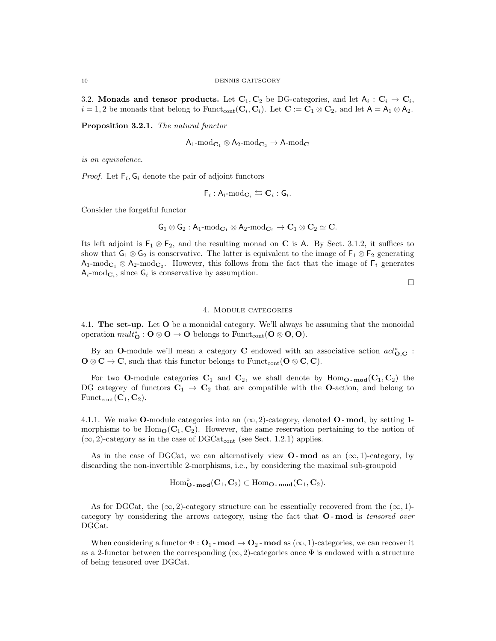3.2. Monads and tensor products. Let  $C_1, C_2$  be DG-categories, and let  $A_i : C_i \to C_i$ ,  $i = 1, 2$  be monads that belong to Funct<sub>cont</sub>  $(\mathbf{C}_i, \mathbf{C}_i)$ . Let  $\mathbf{C} := \mathbf{C}_1 \otimes \mathbf{C}_2$ , and let  $\mathsf{A} = \mathsf{A}_1 \otimes \mathsf{A}_2$ .

Proposition 3.2.1. The natural functor

$$
\mathsf{A}_1\text{-}\mathrm{mod}_{\mathbf{C}_1}\otimes\mathsf{A}_2\text{-}\mathrm{mod}_{\mathbf{C}_2}\rightarrow\mathsf{A}\text{-}\mathrm{mod}_\mathbf{C}
$$

is an equivalence.

*Proof.* Let  $F_i$ ,  $G_i$  denote the pair of adjoint functors

$$
\mathsf{F}_i : \mathsf{A}_i\text{-}\mathrm{mod}_{\mathbf{C}_i} \leftrightarrows \mathbf{C}_i : \mathsf{G}_i.
$$

Consider the forgetful functor

$$
\mathsf{G}_1 \otimes \mathsf{G}_2: \mathsf{A}_1\text{-}\mathrm{mod}_{\mathbf{C}_1} \otimes \mathsf{A}_2\text{-}\mathrm{mod}_{\mathbf{C}_2} \rightarrow \mathbf{C}_1 \otimes \mathbf{C}_2 \simeq \mathbf{C}.
$$

Its left adjoint is  $F_1 \otimes F_2$ , and the resulting monad on C is A. By Sect. 3.1.2, it suffices to show that  $G_1 \otimes G_2$  is conservative. The latter is equivalent to the image of  $F_1 \otimes F_2$  generating  $A_1$ -mod<sub>C<sub>1</sub></sub>  $\otimes$  A<sub>2</sub>-mod<sub>C<sub>2</sub>. However, this follows from the fact that the image of  $F_i$  generates</sub>  $A_i$ -mod<sub> $C_i$ </sub>, since  $G_i$  is conservative by assumption.

 $\Box$ 

#### 4. Module categories

4.1. The set-up. Let O be a monoidal category. We'll always be assuming that the monoidal operation  $\text{mult}_{\mathbf{O}}^* : \mathbf{O} \otimes \mathbf{O} \to \mathbf{O}$  belongs to  $\text{Funct}_{\text{cont}}(\mathbf{O} \otimes \mathbf{O}, \mathbf{O})$ .

By an O-module we'll mean a category C endowed with an associative action  $act^*_{O,C}$ :  $\mathbf{O} \otimes \mathbf{C} \to \mathbf{C}$ , such that this functor belongs to Funct<sub>cont</sub> ( $\mathbf{O} \otimes \mathbf{C}, \mathbf{C}$ ).

For two **O**-module categories  $C_1$  and  $C_2$ , we shall denote by Hom<sub>O</sub>  $_{\text{mod}}(C_1, C_2)$  the DG category of functors  $C_1 \rightarrow C_2$  that are compatible with the O-action, and belong to  $\text{Funct}_{\text{cont}}(\mathbf{C}_1, \mathbf{C}_2)$ .

4.1.1. We make **O**-module categories into an  $(\infty, 2)$ -category, denoted **O**-mod, by setting 1morphisms to be  $\text{Hom}_{\mathbf{O}}(\mathbf{C}_1, \mathbf{C}_2)$ . However, the same reservation pertaining to the notion of  $(\infty, 2)$ -category as in the case of DGCat<sub>cont</sub> (see Sect. 1.2.1) applies.

As in the case of DGCat, we can alternatively view  $O$ -mod as an  $(\infty, 1)$ -category, by discarding the non-invertible 2-morphisms, i.e., by considering the maximal sub-groupoid

 $\text{Hom}^{\circ}_{\mathbf{O}-\mathbf{mod}}(\mathbf{C}_1, \mathbf{C}_2) \subset \text{Hom}_{\mathbf{O}-\mathbf{mod}}(\mathbf{C}_1, \mathbf{C}_2).$ 

As for DGCat, the  $(\infty, 2)$ -category structure can be essentially recovered from the  $(\infty, 1)$ category by considering the arrows category, using the fact that O - mod is tensored over DGCat.

When considering a functor  $\Phi : \mathbf{O}_1$  - mod  $\to \mathbf{O}_2$  - mod as  $(\infty, 1)$ -categories, we can recover it as a 2-functor between the corresponding  $(\infty, 2)$ -categories once  $\Phi$  is endowed with a structure of being tensored over DGCat.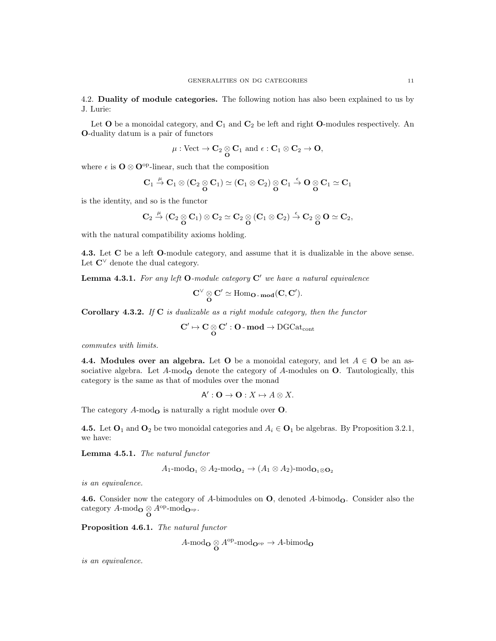4.2. Duality of module categories. The following notion has also been explained to us by J. Lurie:

Let  $O$  be a monoidal category, and  $C_1$  and  $C_2$  be left and right  $O$ -modules respectively. An O-duality datum is a pair of functors

$$
\mu: \text{Vect} \to \mathbf{C}_2 \underset{\mathbf{O}}{\otimes} \mathbf{C}_1 \text{ and } \epsilon: \mathbf{C}_1 \otimes \mathbf{C}_2 \to \mathbf{O},
$$

where  $\epsilon$  is  $\mathbf{O} \otimes \mathbf{O}^{\mathrm{op}}$ -linear, such that the composition

$$
\mathbf{C}_1 \overset{\mu}{\to} \mathbf{C}_1 \otimes (\mathbf{C}_2 \underset{\mathbf{O}}{\otimes} \mathbf{C}_1) \simeq (\mathbf{C}_1 \otimes \mathbf{C}_2) \underset{\mathbf{O}}{\otimes} \mathbf{C}_1 \overset{\varepsilon}{\to} \mathbf{O} \underset{\mathbf{O}}{\otimes} \mathbf{C}_1 \simeq \mathbf{C}_1
$$

is the identity, and so is the functor

$$
\mathbf{C}_2 \overset{\mu}{\rightarrow} (\mathbf{C}_2 \underset{\mathbf{O}}{\otimes} \mathbf{C}_1) \otimes \mathbf{C}_2 \simeq \mathbf{C}_2 \underset{\mathbf{O}}{\otimes} (\mathbf{C}_1 \otimes \mathbf{C}_2) \overset{\varepsilon}{\rightarrow} \mathbf{C}_2 \underset{\mathbf{O}}{\otimes} \mathbf{O} \simeq \mathbf{C}_2,
$$

with the natural compatibility axioms holding.

4.3. Let C be a left O-module category, and assume that it is dualizable in the above sense. Let  $\mathbb{C}^{\vee}$  denote the dual category.

**Lemma 4.3.1.** For any left  $O$ -module category  $C'$  we have a natural equivalence

$$
C^\vee\mathop{\otimes}_{{\mathbf O}} C'\simeq \operatorname{Hom}\nolimits_{{\mathbf O}\operatorname{-}\mathbf{mod}}({\mathbf C},{\mathbf C}').
$$

**Corollary 4.3.2.** If  $C$  is dualizable as a right module category, then the functor

$$
\mathbf{C}' \mapsto \mathbf{C} \underset{\mathbf{O}}{\otimes} \mathbf{C}': \mathbf{O}\text{-}\operatorname{\mathbf{mod}} \to \operatorname{DGCat}_{\operatorname{cont}}
$$

commutes with limits.

4.4. Modules over an algebra. Let O be a monoidal category, and let  $A \in \mathbf{O}$  be an associative algebra. Let  $A$ -mod<sub>o</sub> denote the category of  $A$ -modules on  $O$ . Tautologically, this category is the same as that of modules over the monad

$$
A':\mathbf{O}\to\mathbf{O}:X\mapsto A\otimes X.
$$

The category  $A$ -mod<sub>o</sub> is naturally a right module over  $O$ .

4.5. Let  $O_1$  and  $O_2$  be two monoidal categories and  $A_i \in O_1$  be algebras. By Proposition 3.2.1, we have:

Lemma 4.5.1. The natural functor

$$
A_1\text{-mod}_{\mathbf{O}_1} \otimes A_2\text{-mod}_{\mathbf{O}_2} \to (A_1 \otimes A_2)\text{-mod}_{\mathbf{O}_1 \otimes \mathbf{O}_2}
$$

is an equivalence.

4.6. Consider now the category of A-bimodules on  $O$ , denoted A-bimod<sub>o</sub>. Consider also the category  $A$ -mod<sub>O</sub>  $\underset{\mathbf{O}}{\otimes} A^{\mathrm{op}}$ -mod<sub>O</sub> <sub>op</sub>.

Proposition 4.6.1. The natural functor

$$
A\text{-mod}_\mathbf{O}\otimes A^\text{op}\text{-mod}_{\mathbf{O}^\text{op}}\to A\text{-bimod}_\mathbf{O}
$$

is an equivalence.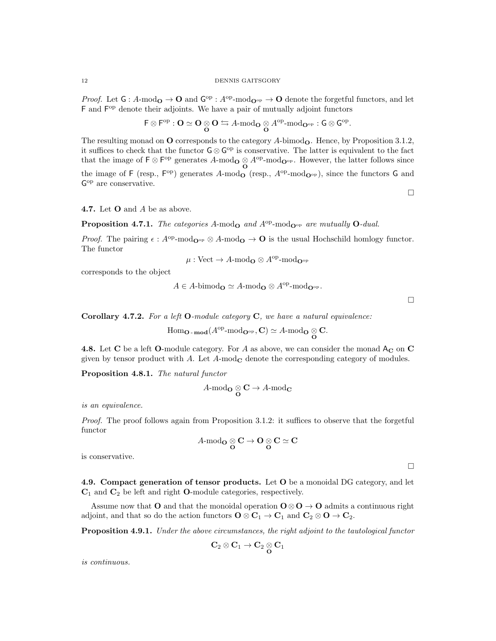*Proof.* Let  $G: A\text{-mod}_{\mathbf{O}} \to \mathbf{O}$  and  $G^{\text{op}}: A^{\text{op}}\text{-mod}_{\mathbf{O}^{\text{op}}} \to \mathbf{O}$  denote the forgetful functors, and let F and  $F^{op}$  denote their adjoints. We have a pair of mutually adjoint functors

$$
\mathsf{F} \otimes \mathsf{F}^\mathrm{op} : \mathbf{O} \simeq \mathbf{O} \underset{\mathbf{O}}{\otimes} \mathbf{O} \leftrightarrows A\text{-}\mathrm{mod}_{\mathbf{O}} \underset{\mathbf{O}}{\otimes} A^\mathrm{op}\text{-}\mathrm{mod}_{\mathbf{O}^\mathrm{op}}: \mathsf{G} \otimes \mathsf{G}^\mathrm{op}.
$$

The resulting monad on  $O$  corresponds to the category  $A$ -bimod<sub> $O$ </sub>. Hence, by Proposition 3.1.2, it suffices to check that the functor  $\mathsf{G} \otimes \mathsf{G}^{\mathrm{op}}$  is conservative. The latter is equivalent to the fact that the image of  $\mathsf{F} \otimes \mathsf{F}^{op}$  generates  $A\text{-mod}_{\mathbf{O}} \otimes A^{op}\text{-mod}_{\mathbf{O}^{op}}$ . However, the latter follows since the image of F (resp.,  $F^{\text{op}}$ ) generates A-mod<sub>O</sub> (resp.,  $A^{\text{op}}$ -mod<sub>O<sup>op</sup></sub>), since the functors G and G op are conservative.

 $\Box$ 

4.7. Let O and A be as above.

**Proposition 4.7.1.** The categories A-mod<sub>O</sub> and  $A^{op}\text{-mod}_{\mathbf{O}^{op}}$  are mutually O-dual.

*Proof.* The pairing  $\epsilon : A^{op}\text{-mod}_{\mathbf{O}^{op}} \otimes A\text{-mod}_{\mathbf{O}} \to \mathbf{O}$  is the usual Hochschild homlogy functor. The functor

$$
\mu: \text{Vect} \to A\text{-}\mathrm{mod}_{\mathbf{O}} \otimes A^{\text{op}}\text{-}\mathrm{mod}_{\mathbf{O}^{\text{op}}}
$$

corresponds to the object

$$
A \in A\text{-bimod}_{\mathbf{O}} \simeq A\text{-mod}_{\mathbf{O}} \otimes A^{\text{op}}\text{-mod}_{\mathbf{O}^{\text{op}}}.
$$

 $\Box$ 

Corollary 4.7.2. For a left  $O$ -module category  $C$ , we have a natural equivalence:

$$
\mathrm{Hom}_{\mathbf{O}\text{-}\operatorname{\mathbf{mod}}}(A^{\mathrm{op}}\text{-}\mathrm{mod}_{\mathbf{O}^{\mathrm{op}}},\mathbf{C})\simeq A\text{-}\mathrm{mod}_{\mathbf{O}}\underset{\mathbf{O}}{\otimes}\mathbf{C}.
$$

4.8. Let C be a left O-module category. For A as above, we can consider the monad  $A_C$  on C given by tensor product with  $A$ . Let  $A$ -mod<sub> $C$ </sub> denote the corresponding category of modules.

Proposition 4.8.1. The natural functor

$$
A\text{-}\mathrm{mod}_{\mathbf{O}}\underset{\mathbf{O}}{\otimes}\mathbf{C}\rightarrow A\text{-}\mathrm{mod}_{\mathbf{C}}
$$

is an equivalence.

Proof. The proof follows again from Proposition 3.1.2: it suffices to observe that the forgetful functor

$$
A\text{-mod}_{{\mathbf O}}\underset{{\mathbf O}}\otimes{\mathbf C}\to{\mathbf O}\underset{{\mathbf O}}\otimes{\mathbf C}\simeq{\mathbf C}
$$

is conservative.

 $\Box$ 

4.9. Compact generation of tensor products. Let O be a monoidal DG category, and let  $C_1$  and  $C_2$  be left and right **O**-module categories, respectively.

Assume now that O and that the monoidal operation  $O \otimes O \rightarrow O$  admits a continuous right adjoint, and that so do the action functors  $\mathbf{O} \otimes \mathbf{C}_1 \to \mathbf{C}_1$  and  $\mathbf{C}_2 \otimes \mathbf{O} \to \mathbf{C}_2$ .

Proposition 4.9.1. Under the above circumstances, the right adjoint to the tautological functor

$$
\mathbf{C}_2\otimes\mathbf{C}_1\to\mathbf{C}_2\underset{\mathbf{O}}{\otimes}\mathbf{C}_1
$$

is continuous.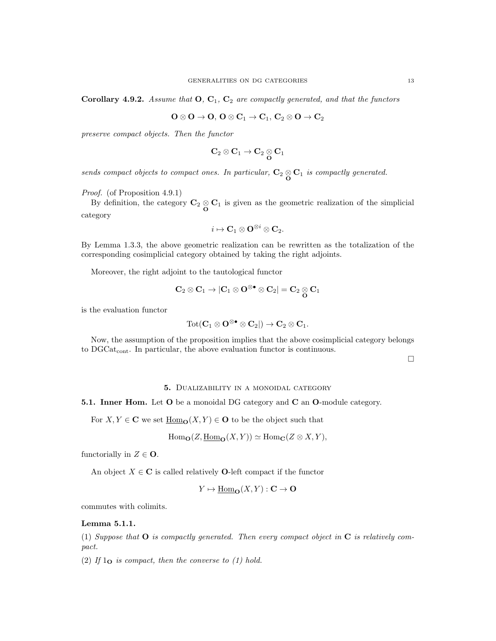Corollary 4.9.2. Assume that  $O, C_1, C_2$  are compactly generated, and that the functors

$$
\mathbf{O}\otimes\mathbf{O}\rightarrow\mathbf{O},\,\mathbf{O}\otimes\mathbf{C}_1\rightarrow\mathbf{C}_1,\,\mathbf{C}_2\otimes\mathbf{O}\rightarrow\mathbf{C}_2
$$

preserve compact objects. Then the functor

$$
\mathbf{C}_2\otimes\mathbf{C}_1\to\mathbf{C}_2\underset{\mathbf{O}}{\otimes}\mathbf{C}_1
$$

sends compact objects to compact ones. In particular,  $C_2 \otimes C_1$  is compactly generated.

Proof. (of Proposition 4.9.1)

By definition, the category  $C_2 \underset{\mathbf{O}}{\otimes} C_1$  is given as the geometric realization of the simplicial category

$$
i \mapsto \mathbf{C}_1 \otimes \mathbf{O}^{\otimes i} \otimes \mathbf{C}_2.
$$

By Lemma 1.3.3, the above geometric realization can be rewritten as the totalization of the corresponding cosimplicial category obtained by taking the right adjoints.

Moreover, the right adjoint to the tautological functor

$$
\mathbf{C}_2\otimes\mathbf{C}_1\to |\mathbf{C}_1\otimes\mathbf{O}^{\otimes\bullet}\otimes\mathbf{C}_2|=\mathbf{C}_2\underset{\mathbf{O}}{\otimes}\mathbf{C}_1
$$

is the evaluation functor

$$
\operatorname{Tot}(\mathbf{C}_1 \otimes \mathbf{O}^{\otimes \bullet} \otimes \mathbf{C}_2 |) \to \mathbf{C}_2 \otimes \mathbf{C}_1.
$$

Now, the assumption of the proposition implies that the above cosimplicial category belongs to DGCat<sub>cont</sub>. In particular, the above evaluation functor is continuous.

 $\Box$ 

#### 5. Dualizability in a monoidal category

5.1. Inner Hom. Let O be a monoidal DG category and C an O-module category.

For  $X, Y \in \mathbf{C}$  we set  $\underline{\text{Hom}}_{\mathbf{O}}(X, Y) \in \mathbf{O}$  to be the object such that

$$
\mathrm{Hom}_{\mathbf{O}}(Z, \underline{\mathrm{Hom}}_{\mathbf{O}}(X, Y)) \simeq \mathrm{Hom}_{\mathbf{C}}(Z \otimes X, Y),
$$

functorially in  $Z \in \mathbf{O}$ .

An object  $X \in \mathbb{C}$  is called relatively **O**-left compact if the functor

$$
Y \mapsto \underline{\mathrm{Hom}}_{\mathbf{O}}(X, Y) : \mathbf{C} \to \mathbf{O}
$$

commutes with colimits.

### Lemma 5.1.1.

(1) Suppose that  $O$  is compactly generated. Then every compact object in  $C$  is relatively compact.

(2) If  $1_{\mathbf{O}}$  is compact, then the converse to (1) hold.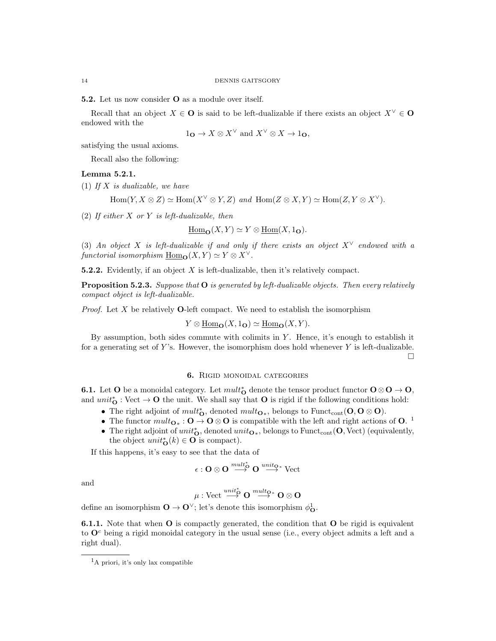5.2. Let us now consider O as a module over itself.

Recall that an object  $X \in \mathbf{O}$  is said to be left-dualizable if there exists an object  $X^{\vee} \in \mathbf{O}$ endowed with the

$$
1_{\mathbf{O}} \to X \otimes X^{\vee} \text{ and } X^{\vee} \otimes X \to 1_{\mathbf{O}},
$$

satisfying the usual axioms.

Recall also the following:

## Lemma 5.2.1.

(1) If  $X$  is dualizable, we have

 $Hom(Y, X \otimes Z) \simeq Hom(X^{\vee} \otimes Y, Z)$  and  $Hom(Z \otimes X, Y) \simeq Hom(Z, Y \otimes X^{\vee}).$ 

(2) If either  $X$  or  $Y$  is left-dualizable, then

$$
\underline{\mathrm{Hom}}_{\mathbf{O}}(X,Y) \simeq Y \otimes \underline{\mathrm{Hom}}(X,\mathbf{1}_{\mathbf{O}}).
$$

(3) An object X is left-dualizable if and only if there exists an object  $X^{\vee}$  endowed with a functorial isomorphism  $\underline{Hom}_{\mathbf{O}}(X, Y) \simeq Y \otimes X^{\vee}$ .

5.2.2. Evidently, if an object  $X$  is left-dualizable, then it's relatively compact.

**Proposition 5.2.3.** Suppose that  $O$  is generated by left-dualizable objects. Then every relatively compact object is left-dualizable.

*Proof.* Let X be relatively **O**-left compact. We need to establish the isomorphism

$$
Y \otimes \underline{\mathrm{Hom}}_{\mathbf{O}}(X, 1_{\mathbf{O}}) \simeq \underline{\mathrm{Hom}}_{\mathbf{O}}(X, Y).
$$

By assumption, both sides commute with colimits in  $Y$ . Hence, it's enough to establish it for a generating set of  $Y$ 's. However, the isomorphism does hold whenever  $Y$  is left-dualizable.  $\Box$ 

### 6. Rigid monoidal categories

**6.1.** Let O be a monoidal category. Let  $mult_{O}^{*}$  denote the tensor product functor  $O \otimes O \to O$ , and  $unit_{\mathbf{O}}^* : \text{Vect} \to \mathbf{O}$  the unit. We shall say that  $\mathbf{O}$  is rigid if the following conditions hold:

- The right adjoint of  $mult_{\mathbf{O}}^*$ , denoted  $mult_{\mathbf{O}^*}$ , belongs to  $\text{Funct}_{\text{cont}}(\mathbf{O},\mathbf{O}\otimes\mathbf{O})$ .
- The functor  $mult_{\mathbf{O}_{*}}: \mathbf{O} \to \mathbf{O} \otimes \mathbf{O}$  is compatible with the left and right actions of  $\mathbf{O}$ . <sup>1</sup>
- The right adjoint of  $unit_{\mathbf{O}}^*$ , denoted  $unit_{\mathbf{O} *}$ , belongs to  $\text{Funct}_{\text{cont}}(\mathbf{O}, \text{Vect})$  (equivalently, the object  $unit_{\mathbf{O}}^{*}(k) \in \mathbf{O}$  is compact).

If this happens, it's easy to see that the data of

$$
\epsilon: \mathbf{O} \otimes \mathbf{O} \stackrel{mult_ \bullet ^* }{\longrightarrow} \mathbf{O} \stackrel{unit_ \mathbf{O} ^* }{\longrightarrow} \mathrm{Vect}
$$

and

$$
\mu: \text{Vect} \stackrel{unit_0^\ast}{\longrightarrow} \mathbf{O} \stackrel{multi_0^\ast}{\longrightarrow} \mathbf{O} \otimes \mathbf{O}
$$

define an isomorphism  $\mathbf{O} \to \mathbf{O}^{\vee}$ ; let's denote this isomorphism  $\phi_{\mathbf{O}}^1$ .

6.1.1. Note that when O is compactly generated, the condition that O be rigid is equivalent to  $\mathbf{O}^c$  being a rigid monoidal category in the usual sense (i.e., every object admits a left and a right dual).

 ${}^{1}$ A priori, it's only lax compatible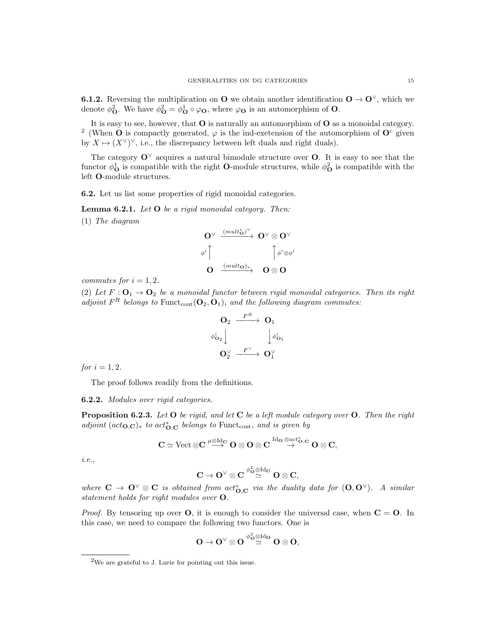**6.1.2.** Reversing the multiplication on **O** we obtain another identification  $O \rightarrow O^{\vee}$ , which we denote  $\phi_{\mathbf{O}}^2$ . We have  $\phi_{\mathbf{O}}^2 = \phi_{\mathbf{O}}^1 \circ \varphi_{\mathbf{O}}$ , where  $\varphi_{\mathbf{O}}$  is an automorphism of  $\mathbf{O}$ .

It is easy to see, however, that  $O$  is naturally an automorphism of  $O$  as a monoidal category. <sup>2</sup> (When **O** is compactly generated,  $\varphi$  is the ind-exetension of the automorphism of  $\mathbf{O}^c$  given by  $X \mapsto (X^{\vee})^{\vee}$ , i.e., the discrepancy between left duals and right duals).

The category  $\mathbf{O}^{\vee}$  acquires a natural bimodule structure over **O**. It is easy to see that the functor  $\phi_{\bf O}^1$  is compatible with the right **O**-module structures, while  $\phi_{\bf O}^2$  is compatible with the left O-module structures.

6.2. Let us list some properties of rigid monoidal categories.

Lemma 6.2.1. Let O be a rigid monoidal category. Then:

(1) The diagram

$$
\begin{array}{ccc}\n\mathbf{O}^{\vee} & \xrightarrow{(mult_{\mathbf{O}})^{\vee}} & \mathbf{O}^{\vee} \otimes \mathbf{O}^{\vee} \\
& & \\
\phi^{i} & & \\
\mathbf{O} & \xrightarrow{(mult_{\mathbf{O}})_{*}} & \mathbf{O} \otimes \mathbf{O}\n\end{array}
$$

commutes for  $i = 1, 2$ .

(2) Let  $F: \mathbf{O}_1 \to \mathbf{O}_2$  be a monoidal functor between rigid monoidal categories. Then its right adjoint  $F^R$  belongs to  $\text{Funct}_{\text{cont}}(\mathbf{O}_2, \mathbf{O}_1)$ , and the following diagram commutes:

$$
\begin{array}{ccc}\n\mathbf{O}_2 & \xrightarrow{F^R} & \mathbf{O}_1 \\
\phi^i_{\mathbf{O}_2} & & \downarrow \phi^i_{\mathbf{O}_1} \\
\mathbf{O}_2^\vee & \xrightarrow{F^\vee} & \mathbf{O}_1^\vee\n\end{array}
$$

for  $i = 1, 2$ .

The proof follows readily from the definitions.

6.2.2. Modules over rigid categories.

**Proposition 6.2.3.** Let  $O$  be rigid, and let  $C$  be a left module category over  $O$ . Then the right adjoint  $(act_{\mathbf{O},\mathbf{C}})_{*}$  to  $act_{\mathbf{O},\mathbf{C}}^{*}$  belongs to Funct<sub>cont</sub>, and is given by

$$
\mathbf{C} \simeq \mathrm{Vect} \otimes \mathbf{C} \stackrel{\mu \otimes \mathrm{Id}_\mathbf{C}}{\longrightarrow} \mathbf{O} \otimes \mathbf{O} \otimes \mathbf{C} \stackrel{\mathrm{Id}_\mathbf{O} \otimes act^*_{\mathbf{O}, \mathbf{C}}}{\longrightarrow} \mathbf{O} \otimes \mathbf{C},
$$

i.e.,

$$
C\to O^\vee\otimes C\stackrel{\phi_{\mathbf{O}}^2\otimes\mathrm{Id}_{\mathbf{C}}}{\simeq} O\otimes C,
$$

where  $C \to \mathbf{O}^\vee \otimes \mathbf{C}$  is obtained from  $act_{\mathbf{O},\mathbf{C}}^*$  via the duality data for  $(\mathbf{O},\mathbf{O}^\vee)$ . A similar statement holds for right modules over O.

*Proof.* By tensoring up over **O**, it is enough to consider the universal case, when  $C = 0$ . In this case, we need to compare the following two functors. One is

$$
O \to O^\vee \otimes O \stackrel{\phi_O^2 \otimes \mathrm{Id}_O}{\simeq} O \otimes O,
$$

<sup>2</sup>We are grateful to J. Lurie for pointing out this issue.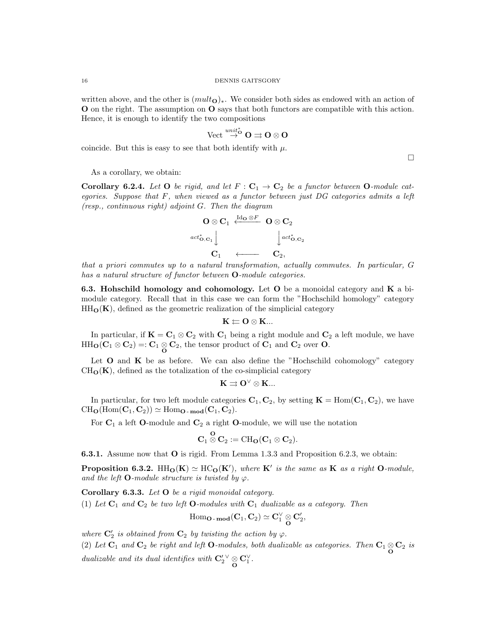written above, and the other is  $(mult<sub>O</sub>)<sub>*</sub>$ . We consider both sides as endowed with an action of O on the right. The assumption on O says that both functors are compatible with this action. Hence, it is enough to identify the two compositions

$$
\text{Vect} \stackrel{unit_0^*}{\rightarrow} \mathbf{O} \rightrightarrows \mathbf{O} \otimes \mathbf{O}
$$

coincide. But this is easy to see that both identify with  $\mu$ .

As a corollary, we obtain:

**Corollary 6.2.4.** Let **O** be rigid, and let  $F : C_1 \rightarrow C_2$  be a functor between **O**-module categories. Suppose that  $F$ , when viewed as a functor between just  $DG$  categories admits a left (resp., continuous right) adjoint G. Then the diagram



that a priori commutes up to a natural transformation, actually commutes. In particular, G has a natural structure of functor between O-module categories.

6.3. Hohschild homology and cohomology. Let O be a monoidal category and K a bimodule category. Recall that in this case we can form the "Hochschild homology" category  $HH<sub>O</sub>(**K**)$ , defined as the geometric realization of the simplicial category

$$
\mathbf{K}\mathbin{\raisebox{.3pt}{:}\!=} \mathbf{O}\otimes \mathbf{K}...
$$

In particular, if  $K = C_1 \otimes C_2$  with  $C_1$  being a right module and  $C_2$  a left module, we have  $HH_{\mathbf{O}}(\mathbf{C}_1 \otimes \mathbf{C}_2) =: \mathbf{C}_1 \underset{\mathbf{O}}{\otimes} \mathbf{C}_2$ , the tensor product of  $\mathbf{C}_1$  and  $\mathbf{C}_2$  over  $\mathbf{O}$ .

Let  $O$  and  $K$  be as before. We can also define the "Hochschild cohomology" category  $CH<sub>O</sub>(**K**)$ , defined as the totalization of the co-simplicial category

$$
\mathbf{K}\rightrightarrows \mathbf{O}^\vee\otimes \mathbf{K}...
$$

In particular, for two left module categories  $C_1, C_2$ , by setting  $K = \text{Hom}(C_1, C_2)$ , we have  $CH_0(\text{Hom}(\mathbf{C}_1, \mathbf{C}_2)) \simeq \text{Hom}_{\mathbf{O}-\mathbf{mod}}(\mathbf{C}_1, \mathbf{C}_2).$ 

For  $C_1$  a left O-module and  $C_2$  a right O-module, we will use the notation

$$
\mathbf{C}_1 \overset{\mathbf{O}}{\otimes} \mathbf{C}_2 := \mathrm{CH}_{\mathbf{O}}(\mathbf{C}_1 \otimes \mathbf{C}_2).
$$

6.3.1. Assume now that O is rigid. From Lemma 1.3.3 and Proposition 6.2.3, we obtain:

**Proposition 6.3.2.** HH<sub>Q</sub>(K)  $\simeq$  HC<sub>Q</sub>(K'), where K' is the same as K as a right Q-module, and the left  $O$ -module structure is twisted by  $\varphi$ .

Corollary 6.3.3. Let O be a rigid monoidal category.

(1) Let  $C_1$  and  $C_2$  be two left **O**-modules with  $C_1$  dualizable as a category. Then

$$
\operatorname{Hom}\nolimits_{{\mathbf O}\operatorname{-mod}}({\mathbf C}_1,{\mathbf C}_2)\simeq {\mathbf C}_1^\vee\underset{{\mathbf O}}\otimes{\mathbf C}_2^\prime,
$$

where  $\mathbf{C}'_2$  is obtained from  $\mathbf{C}_2$  by twisting the action by  $\varphi$ .

(2) Let  $C_1$  and  $C_2$  be right and left **O**-modules, both dualizable as categories. Then  $C_1 \otimes C_2$  is dualizable and its dual identifies with  $\mathbf{C}'_2^{\vee} \underset{\mathbf{O}}{\otimes} \mathbf{C}'_1$ .

 $\Box$